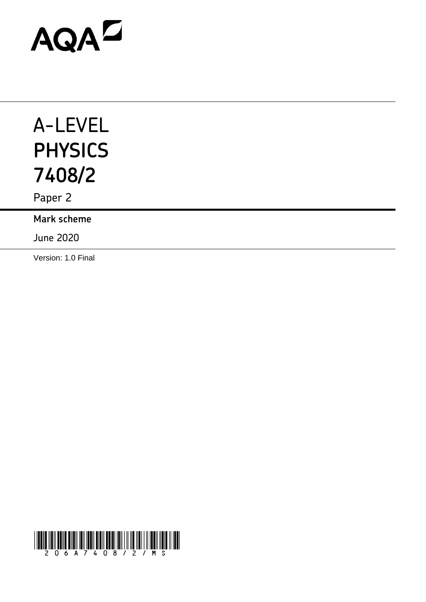# AQAD

## A-LEVEL **PHYSICS 7408/2**

Paper 2

**Mark scheme**

June 2020

Version: 1.0 Final

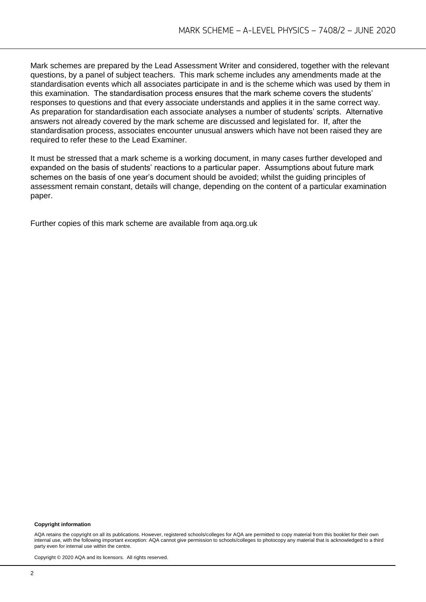Mark schemes are prepared by the Lead Assessment Writer and considered, together with the relevant questions, by a panel of subject teachers. This mark scheme includes any amendments made at the standardisation events which all associates participate in and is the scheme which was used by them in this examination. The standardisation process ensures that the mark scheme covers the students' responses to questions and that every associate understands and applies it in the same correct way. As preparation for standardisation each associate analyses a number of students' scripts. Alternative answers not already covered by the mark scheme are discussed and legislated for. If, after the standardisation process, associates encounter unusual answers which have not been raised they are required to refer these to the Lead Examiner.

It must be stressed that a mark scheme is a working document, in many cases further developed and expanded on the basis of students' reactions to a particular paper. Assumptions about future mark schemes on the basis of one year's document should be avoided; whilst the guiding principles of assessment remain constant, details will change, depending on the content of a particular examination paper.

Further copies of this mark scheme are available from aqa.org.uk

#### **Copyright information**

AQA retains the copyright on all its publications. However, registered schools/colleges for AQA are permitted to copy material from this booklet for their own internal use, with the following important exception: AQA cannot give permission to schools/colleges to photocopy any material that is acknowledged to a third party even for internal use within the centre.

Copyright © 2020 AQA and its licensors. All rights reserved.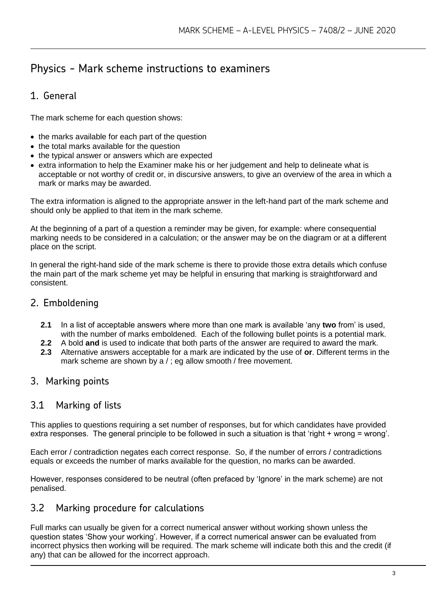### Physics - Mark scheme instructions to examiners

#### 1. General

The mark scheme for each question shows:

- the marks available for each part of the question
- the total marks available for the question
- the typical answer or answers which are expected
- extra information to help the Examiner make his or her judgement and help to delineate what is acceptable or not worthy of credit or, in discursive answers, to give an overview of the area in which a mark or marks may be awarded.

The extra information is aligned to the appropriate answer in the left-hand part of the mark scheme and should only be applied to that item in the mark scheme.

At the beginning of a part of a question a reminder may be given, for example: where consequential marking needs to be considered in a calculation; or the answer may be on the diagram or at a different place on the script.

In general the right-hand side of the mark scheme is there to provide those extra details which confuse the main part of the mark scheme yet may be helpful in ensuring that marking is straightforward and consistent.

#### 2. Emboldening

- **2.1** In a list of acceptable answers where more than one mark is available 'any **two** from' is used, with the number of marks emboldened. Each of the following bullet points is a potential mark.
- **2.2** A bold **and** is used to indicate that both parts of the answer are required to award the mark.
- **2.3** Alternative answers acceptable for a mark are indicated by the use of **or**. Different terms in the mark scheme are shown by a / ; eg allow smooth / free movement.

#### 3. Marking points

#### 3.1 Marking of lists

This applies to questions requiring a set number of responses, but for which candidates have provided extra responses. The general principle to be followed in such a situation is that 'right + wrong = wrong'.

Each error / contradiction negates each correct response. So, if the number of errors / contradictions equals or exceeds the number of marks available for the question, no marks can be awarded.

However, responses considered to be neutral (often prefaced by 'Ignore' in the mark scheme) are not penalised.

#### 3.2 Marking procedure for calculations

Full marks can usually be given for a correct numerical answer without working shown unless the question states 'Show your working'. However, if a correct numerical answer can be evaluated from incorrect physics then working will be required. The mark scheme will indicate both this and the credit (if any) that can be allowed for the incorrect approach.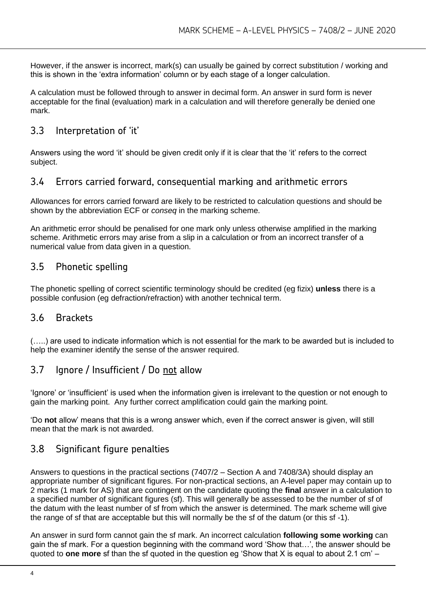However, if the answer is incorrect, mark(s) can usually be gained by correct substitution / working and this is shown in the 'extra information' column or by each stage of a longer calculation.

A calculation must be followed through to answer in decimal form. An answer in surd form is never acceptable for the final (evaluation) mark in a calculation and will therefore generally be denied one mark.

#### 3.3 Interpretation of 'it'

Answers using the word 'it' should be given credit only if it is clear that the 'it' refers to the correct subject.

#### 3.4 Errors carried forward, consequential marking and arithmetic errors

Allowances for errors carried forward are likely to be restricted to calculation questions and should be shown by the abbreviation ECF or *conseq* in the marking scheme.

An arithmetic error should be penalised for one mark only unless otherwise amplified in the marking scheme. Arithmetic errors may arise from a slip in a calculation or from an incorrect transfer of a numerical value from data given in a question.

#### 3.5 Phonetic spelling

The phonetic spelling of correct scientific terminology should be credited (eg fizix) **unless** there is a possible confusion (eg defraction/refraction) with another technical term.

#### 3.6 Brackets

(…..) are used to indicate information which is not essential for the mark to be awarded but is included to help the examiner identify the sense of the answer required.

#### 3.7 Ignore / Insufficient / Do not allow

'Ignore' or 'insufficient' is used when the information given is irrelevant to the question or not enough to gain the marking point. Any further correct amplification could gain the marking point.

'Do **not** allow' means that this is a wrong answer which, even if the correct answer is given, will still mean that the mark is not awarded.

#### 3.8 Significant figure penalties

Answers to questions in the practical sections (7407/2 – Section A and 7408/3A) should display an appropriate number of significant figures. For non-practical sections, an A-level paper may contain up to 2 marks (1 mark for AS) that are contingent on the candidate quoting the **final** answer in a calculation to a specified number of significant figures (sf). This will generally be assessed to be the number of sf of the datum with the least number of sf from which the answer is determined. The mark scheme will give the range of sf that are acceptable but this will normally be the sf of the datum (or this sf -1).

An answer in surd form cannot gain the sf mark. An incorrect calculation **following some working** can gain the sf mark. For a question beginning with the command word 'Show that…', the answer should be quoted to **one more** sf than the sf quoted in the question eg 'Show that X is equal to about 2.1 cm' –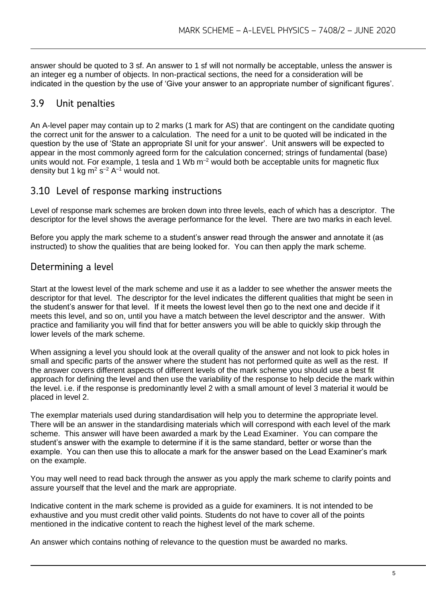answer should be quoted to 3 sf. An answer to 1 sf will not normally be acceptable, unless the answer is an integer eg a number of objects. In non-practical sections, the need for a consideration will be indicated in the question by the use of 'Give your answer to an appropriate number of significant figures'.

#### 3.9 Unit penalties

An A-level paper may contain up to 2 marks (1 mark for AS) that are contingent on the candidate quoting the correct unit for the answer to a calculation. The need for a unit to be quoted will be indicated in the question by the use of 'State an appropriate SI unit for your answer'. Unit answers will be expected to appear in the most commonly agreed form for the calculation concerned; strings of fundamental (base) units would not. For example, 1 tesla and 1 Wb  $m^{-2}$  would both be acceptable units for magnetic flux density but 1 kg m<sup>2</sup> s<sup>-2</sup> A<sup>-1</sup> would not.

#### 3.10 Level of response marking instructions

Level of response mark schemes are broken down into three levels, each of which has a descriptor. The descriptor for the level shows the average performance for the level. There are two marks in each level.

Before you apply the mark scheme to a student's answer read through the answer and annotate it (as instructed) to show the qualities that are being looked for. You can then apply the mark scheme.

#### Determining a level

Start at the lowest level of the mark scheme and use it as a ladder to see whether the answer meets the descriptor for that level. The descriptor for the level indicates the different qualities that might be seen in the student's answer for that level. If it meets the lowest level then go to the next one and decide if it meets this level, and so on, until you have a match between the level descriptor and the answer. With practice and familiarity you will find that for better answers you will be able to quickly skip through the lower levels of the mark scheme.

When assigning a level you should look at the overall quality of the answer and not look to pick holes in small and specific parts of the answer where the student has not performed quite as well as the rest. If the answer covers different aspects of different levels of the mark scheme you should use a best fit approach for defining the level and then use the variability of the response to help decide the mark within the level. i.e. if the response is predominantly level 2 with a small amount of level 3 material it would be placed in level 2.

The exemplar materials used during standardisation will help you to determine the appropriate level. There will be an answer in the standardising materials which will correspond with each level of the mark scheme. This answer will have been awarded a mark by the Lead Examiner. You can compare the student's answer with the example to determine if it is the same standard, better or worse than the example. You can then use this to allocate a mark for the answer based on the Lead Examiner's mark on the example.

You may well need to read back through the answer as you apply the mark scheme to clarify points and assure yourself that the level and the mark are appropriate.

Indicative content in the mark scheme is provided as a guide for examiners. It is not intended to be exhaustive and you must credit other valid points. Students do not have to cover all of the points mentioned in the indicative content to reach the highest level of the mark scheme.

An answer which contains nothing of relevance to the question must be awarded no marks.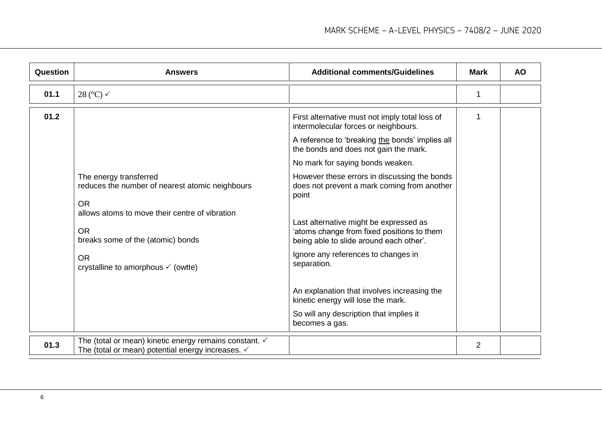| <b>Question</b> | <b>Answers</b>                                                                                                                                                                                                                                           | <b>Additional comments/Guidelines</b>                                                                                                                                                                                                                                                                                                                                                                                                                                                                                                                                                                                                                                     | <b>Mark</b>    | <b>AO</b> |
|-----------------|----------------------------------------------------------------------------------------------------------------------------------------------------------------------------------------------------------------------------------------------------------|---------------------------------------------------------------------------------------------------------------------------------------------------------------------------------------------------------------------------------------------------------------------------------------------------------------------------------------------------------------------------------------------------------------------------------------------------------------------------------------------------------------------------------------------------------------------------------------------------------------------------------------------------------------------------|----------------|-----------|
| 01.1            | 28 ( $^{\circ}$ C) $\checkmark$                                                                                                                                                                                                                          |                                                                                                                                                                                                                                                                                                                                                                                                                                                                                                                                                                                                                                                                           | 1              |           |
| 01.2            | The energy transferred<br>reduces the number of nearest atomic neighbours<br><b>OR</b><br>allows atoms to move their centre of vibration<br><b>OR</b><br>breaks some of the (atomic) bonds<br><b>OR</b><br>crystalline to amorphous $\checkmark$ (owtte) | First alternative must not imply total loss of<br>intermolecular forces or neighbours.<br>A reference to 'breaking the bonds' implies all<br>the bonds and does not gain the mark.<br>No mark for saying bonds weaken.<br>However these errors in discussing the bonds<br>does not prevent a mark coming from another<br>point<br>Last alternative might be expressed as<br>'atoms change from fixed positions to them<br>being able to slide around each other'.<br>Ignore any references to changes in<br>separation.<br>An explanation that involves increasing the<br>kinetic energy will lose the mark.<br>So will any description that implies it<br>becomes a gas. |                |           |
| 01.3            | The (total or mean) kinetic energy remains constant. ✓<br>The (total or mean) potential energy increases. $\checkmark$                                                                                                                                   |                                                                                                                                                                                                                                                                                                                                                                                                                                                                                                                                                                                                                                                                           | $\overline{2}$ |           |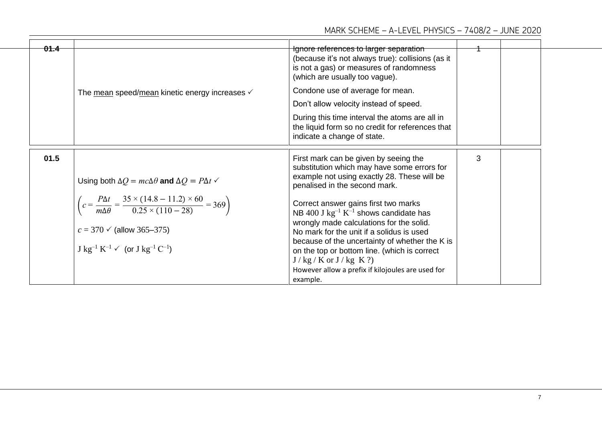| 01.4 |                                                                                                                                                                                                                               | Ignore references to larger separation<br>(because it's not always true): collisions (as it<br>is not a gas) or measures of randomness<br>(which are usually too vague).                                                                                                                                                                                                           |   |  |
|------|-------------------------------------------------------------------------------------------------------------------------------------------------------------------------------------------------------------------------------|------------------------------------------------------------------------------------------------------------------------------------------------------------------------------------------------------------------------------------------------------------------------------------------------------------------------------------------------------------------------------------|---|--|
|      | The mean speed/mean kinetic energy increases $\checkmark$                                                                                                                                                                     | Condone use of average for mean.                                                                                                                                                                                                                                                                                                                                                   |   |  |
|      |                                                                                                                                                                                                                               | Don't allow velocity instead of speed.                                                                                                                                                                                                                                                                                                                                             |   |  |
|      |                                                                                                                                                                                                                               | During this time interval the atoms are all in<br>the liquid form so no credit for references that<br>indicate a change of state.                                                                                                                                                                                                                                                  |   |  |
| 01.5 | Using both $\Delta Q = mc\Delta\theta$ and $\Delta Q = P\Delta t$ $\checkmark$                                                                                                                                                | First mark can be given by seeing the<br>substitution which may have some errors for<br>example not using exactly 28. These will be<br>penalised in the second mark.                                                                                                                                                                                                               | 3 |  |
|      | $\left(c = \frac{P\Delta t}{m\Delta\theta} = \frac{35 \times (14.8 - 11.2) \times 60}{0.25 \times (110 - 28)} = 369\right)$<br>$c = 370 \checkmark$ (allow 365–375)<br>$J kg^{-1} K^{-1} \checkmark$ (or $J kg^{-1} C^{-1}$ ) | Correct answer gains first two marks<br>NB 400 J $kg^{-1} K^{-1}$ shows candidate has<br>wrongly made calculations for the solid.<br>No mark for the unit if a solidus is used<br>because of the uncertainty of whether the K is<br>on the top or bottom line. (which is correct<br>$J / kg / K$ or $J / kg K$ ?)<br>However allow a prefix if kilojoules are used for<br>example. |   |  |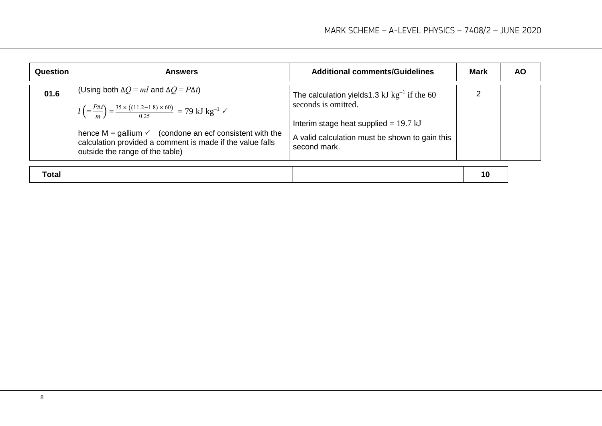| Question | <b>Answers</b>                                                                                                                                                                                                                                                                                                                                         | <b>Additional comments/Guidelines</b>                                                                                                                                                 | <b>Mark</b> | <b>AO</b> |
|----------|--------------------------------------------------------------------------------------------------------------------------------------------------------------------------------------------------------------------------------------------------------------------------------------------------------------------------------------------------------|---------------------------------------------------------------------------------------------------------------------------------------------------------------------------------------|-------------|-----------|
| 01.6     | (Using both $\Delta Q = ml$ and $\Delta Q = P \Delta t$ )<br>$l = \frac{P\Delta t}{m} = \frac{35 \times ((11.2 - 1.8) \times 60)}{0.25} = 79$ kJ kg <sup>-1</sup> $\checkmark$<br>hence $M =$ gallium $\checkmark$ (condone an ecf consistent with the<br>calculation provided a comment is made if the value falls<br>outside the range of the table) | The calculation yields 1.3 kJ $kg^{-1}$ if the 60<br>seconds is omitted.<br>Interim stage heat supplied = $19.7$ kJ<br>A valid calculation must be shown to gain this<br>second mark. | 2           |           |
| Total    |                                                                                                                                                                                                                                                                                                                                                        |                                                                                                                                                                                       | 10          |           |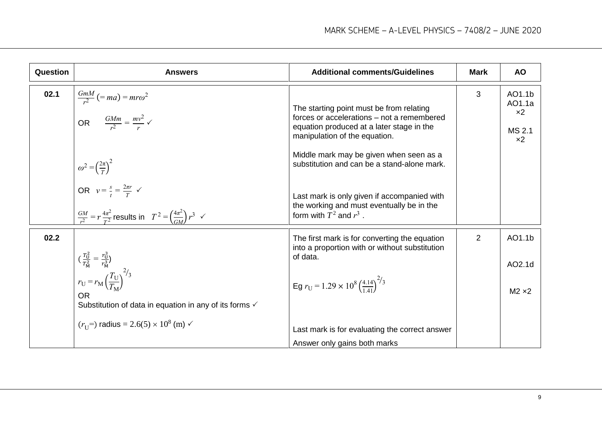| 02.1<br>$\frac{GmM}{r^2}$ (= ma) = mro <sup>2</sup><br>OR $\frac{GMm}{r^2} = \frac{mv^2}{r}$ $\checkmark$<br>The starting point must be from relating<br>forces or accelerations - not a remembered<br>equation produced at a later stage in the | 3              | AO1.1b                                  |
|--------------------------------------------------------------------------------------------------------------------------------------------------------------------------------------------------------------------------------------------------|----------------|-----------------------------------------|
| manipulation of the equation.<br>Middle mark may be given when seen as a<br>$\omega^2 = \left(\frac{2\pi}{T}\right)^2$<br>OR $v = \frac{s}{t} = \frac{2\pi r}{T}$ $\checkmark$<br>substitution and can be a stand-alone mark.                    |                | AO1.1a<br>$x^2$<br>MS 2.1<br>$\times 2$ |
| Last mark is only given if accompanied with<br>the working and must eventually be in the<br>$\frac{GM}{r^2} = r \frac{4\pi^2}{T^2}$ results in $T^2 = \left(\frac{4\pi^2}{GM}\right)r^3 \sim r$<br>form with $T^2$ and $r^3$ .                   |                |                                         |
| 02.2<br>The first mark is for converting the equation<br>into a proportion with or without substitution                                                                                                                                          | $\overline{2}$ | AO1.1b                                  |
| $\left(\frac{r_0^2}{r_M^2} = \frac{r_0^3}{r_M^3}\right)$<br>$r_U = r_M \left(\frac{T_U}{T_M}\right)^{2/3}$<br>of data.                                                                                                                           |                | AO2.1d                                  |
| Eg $r_U = 1.29 \times 10^8 \left(\frac{4.14}{1.41}\right)^{2/3}$<br><b>OR</b><br>Substitution of data in equation in any of its forms √                                                                                                          |                | $M2 \times 2$                           |
| $(r_{\text{II}}$ radius = 2.6(5) × 10 <sup>8</sup> (m) $\sim$<br>Last mark is for evaluating the correct answer<br>Answer only gains both marks                                                                                                  |                |                                         |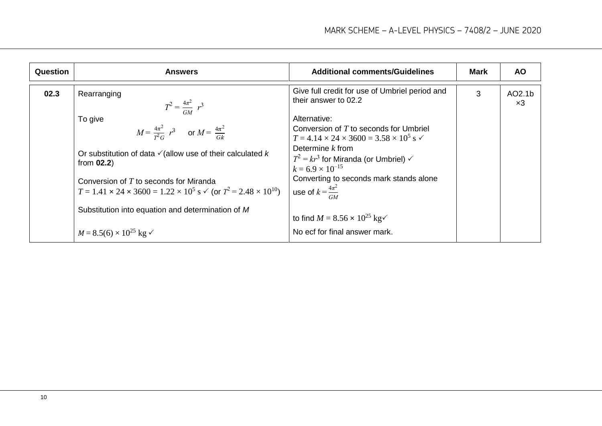| Question | <b>Answers</b>                                                                                                                                   | <b>Additional comments/Guidelines</b>                                                                                        | <b>Mark</b> | <b>AO</b>            |
|----------|--------------------------------------------------------------------------------------------------------------------------------------------------|------------------------------------------------------------------------------------------------------------------------------|-------------|----------------------|
| 02.3     | Rearranging<br>$T^2 = \frac{4\pi^2}{GM} r^3$                                                                                                     | Give full credit for use of Umbriel period and<br>their answer to 02.2                                                       | 3           | AO2.1b<br>$\times 3$ |
|          | To give<br>$M = \frac{4\pi^2}{T^2 G} r^3$ or $M = \frac{4\pi^2}{Gk}$                                                                             | Alternative:<br>Conversion of T to seconds for Umbriel<br>$T = 4.14 \times 24 \times 3600 = 3.58 \times 10^5$ s $\checkmark$ |             |                      |
|          | Or substitution of data $\checkmark$ (allow use of their calculated k<br>from $02.2$ )                                                           | Determine $k$ from<br>$T^2 = kr^3$ for Miranda (or Umbriel) $\checkmark$<br>$k = 6.9 \times 10^{-15}$                        |             |                      |
|          | Conversion of $T$ to seconds for Miranda<br>$T = 1.41 \times 24 \times 3600 = 1.22 \times 10^5$ s $\checkmark$ (or $T^2 = 2.48 \times 10^{10}$ ) | Converting to seconds mark stands alone<br>use of $k=\frac{4\pi^2}{r}$                                                       |             |                      |
|          | Substitution into equation and determination of M                                                                                                | to find $M = 8.56 \times 10^{25} \text{ kg}^{-1}$                                                                            |             |                      |
|          | $M = 8.5(6) \times 10^{25}$ kg $\checkmark$                                                                                                      | No ecf for final answer mark.                                                                                                |             |                      |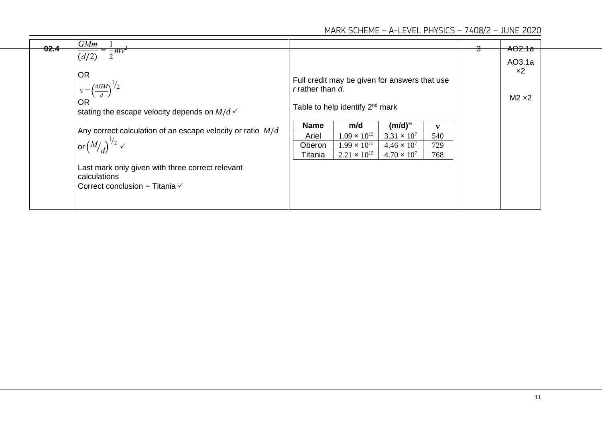| 02.4 | GMm<br>$\sqrt{\frac{1}{2}mv^2}$<br>$\overline{(d/2)}$                                                                       |                  |                                                                                              |                                               |          | <del>AO2.1a</del>                     |
|------|-----------------------------------------------------------------------------------------------------------------------------|------------------|----------------------------------------------------------------------------------------------|-----------------------------------------------|----------|---------------------------------------|
|      | <b>OR</b><br>$v = \left(\frac{4GM}{d}\right)^{1/2}$<br><b>OR</b><br>stating the escape velocity depends on $M/d \checkmark$ | r rather than d. | Full credit may be given for answers that use<br>Table to help identify 2 <sup>nd</sup> mark |                                               |          | AO3.1a<br>$\times 2$<br>$M2 \times 2$ |
|      | Any correct calculation of an escape velocity or ratio $M/d$                                                                | <b>Name</b>      | m/d<br>$1.09 \times 10^{15}$                                                                 | $(m/d)^{\frac{1}{2}}$<br>$3.31 \times 10^{7}$ | v<br>540 |                                       |
|      | or $\left(\frac{M}{d}\right)^{1/2}$ $\checkmark$                                                                            | Ariel<br>Oberon  | $1.99 \times 10^{15}$                                                                        | $4.46 \times 10^{7}$                          | 729      |                                       |
|      | Last mark only given with three correct relevant<br>calculations<br>Correct conclusion = Titania $\checkmark$               | Titania          | $2.21 \times 10^{15}$                                                                        | $4.70 \times 10^{7}$                          | 768      |                                       |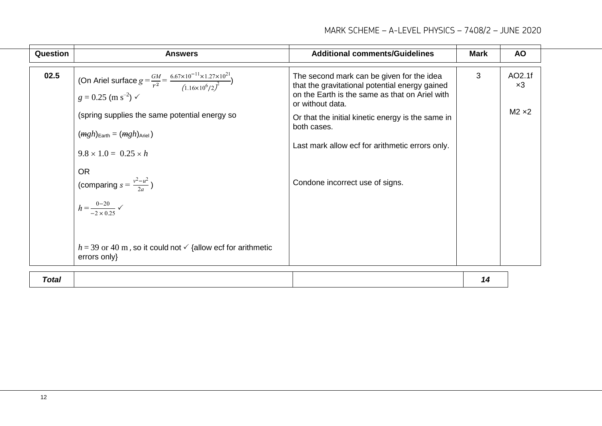| Question     | <b>Answers</b>                                                                                                                                                                                                                                                                                                                                                                                                                                                                                             | <b>Additional comments/Guidelines</b>                                                                                                                                                                                                                                                                                       | <b>Mark</b> | <b>AO</b>                             |
|--------------|------------------------------------------------------------------------------------------------------------------------------------------------------------------------------------------------------------------------------------------------------------------------------------------------------------------------------------------------------------------------------------------------------------------------------------------------------------------------------------------------------------|-----------------------------------------------------------------------------------------------------------------------------------------------------------------------------------------------------------------------------------------------------------------------------------------------------------------------------|-------------|---------------------------------------|
| 02.5         | (On Ariel surface $g = \frac{GM}{r^2} = \frac{6.67 \times 10^{-11} \times 1.27 \times 10^{21}}{(1.16 \times 10^6 / 2)^2}$ )<br>$g = 0.25$ (m s <sup>-2</sup> ) $\checkmark$<br>(spring supplies the same potential energy so<br>$(mgh)_{\text{Earth}} = (mgh)_{\text{Ariel}}$<br>$9.8 \times 1.0 = 0.25 \times h$<br><b>OR</b><br>(comparing $s = \frac{v^2 - u^2}{2a}$ )<br>$h = \frac{0-20}{-2 \times 0.25}$<br>$h = 39$ or 40 m, so it could not $\checkmark$ {allow ecf for arithmetic<br>errors only} | The second mark can be given for the idea<br>that the gravitational potential energy gained<br>on the Earth is the same as that on Ariel with<br>or without data.<br>Or that the initial kinetic energy is the same in<br>both cases.<br>Last mark allow ecf for arithmetic errors only.<br>Condone incorrect use of signs. | 3           | AO2.1f<br>$\times 3$<br>$M2 \times 2$ |
| <b>Total</b> |                                                                                                                                                                                                                                                                                                                                                                                                                                                                                                            |                                                                                                                                                                                                                                                                                                                             | 14          |                                       |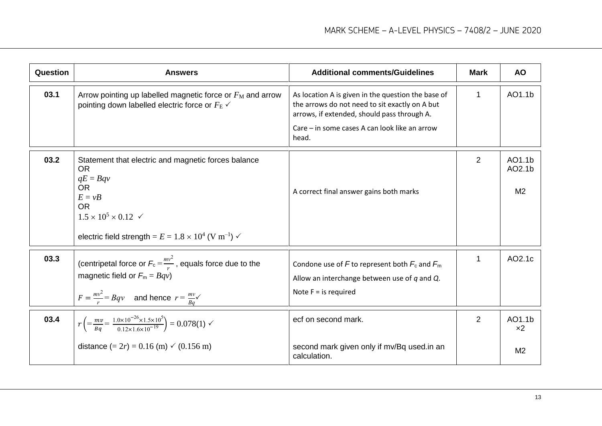| Question | <b>Answers</b>                                                                                                                                                                                                                                          | <b>Additional comments/Guidelines</b>                                                                                                                                                                         | <b>Mark</b>    | <b>AO</b>                          |
|----------|---------------------------------------------------------------------------------------------------------------------------------------------------------------------------------------------------------------------------------------------------------|---------------------------------------------------------------------------------------------------------------------------------------------------------------------------------------------------------------|----------------|------------------------------------|
| 03.1     | Arrow pointing up labelled magnetic force or $F_M$ and arrow<br>pointing down labelled electric force or $F_{\rm E}$ $\checkmark$                                                                                                                       | As location A is given in the question the base of<br>the arrows do not need to sit exactly on A but<br>arrows, if extended, should pass through A.<br>Care – in some cases A can look like an arrow<br>head. | $\mathbf{1}$   | AO1.1b                             |
| 03.2     | Statement that electric and magnetic forces balance<br><b>OR</b><br>$qE = Bqv$<br><b>OR</b><br>$E = vB$<br><b>OR</b><br>$1.5 \times 10^5 \times 0.12$ $\checkmark$<br>electric field strength = $E = 1.8 \times 10^4$ (V m <sup>-1</sup> ) $\checkmark$ | A correct final answer gains both marks                                                                                                                                                                       | 2              | AO1.1b<br>AO2.1b<br>M <sub>2</sub> |
| 03.3     | (centripetal force or $F_c = \frac{mv^2}{r}$ , equals force due to the<br>magnetic field or $F_m = Bqv$<br>$F = \frac{mv^2}{r} = Bqv$ and hence $r = \frac{mv}{Bq}$                                                                                     | Condone use of F to represent both $F_c$ and $F_m$<br>Allow an interchange between use of $q$ and $Q$ .<br>Note $F =$ is required                                                                             | 1              | AO2.1c                             |
| 03.4     | $r\left(=\frac{mv}{Ba}=\frac{1.0\times10^{-26}\times1.5\times10^5}{0.12\times1.6\times10^{-19}}\right)=0.078(1)$ $\checkmark$                                                                                                                           | ecf on second mark.                                                                                                                                                                                           | $\overline{2}$ | AO1.1b<br>x2                       |
|          | distance $(= 2r) = 0.16$ (m) $\checkmark$ (0.156 m)                                                                                                                                                                                                     | second mark given only if mv/Bq used.in an<br>calculation.                                                                                                                                                    |                | M <sub>2</sub>                     |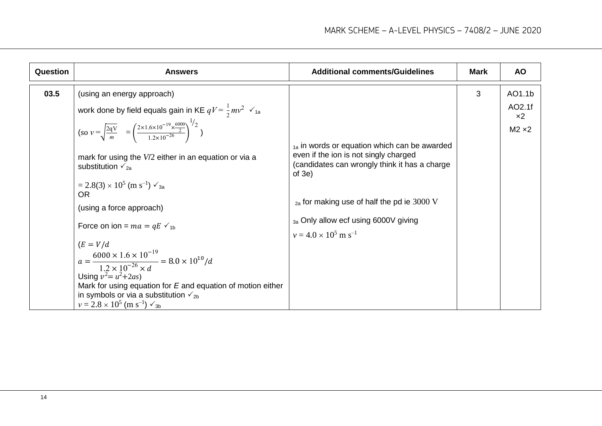| <b>Question</b> | <b>Answers</b>                                                                                                                                                                                                                                                                                                                                                                                                                                                                                                                                                                                                                                                                                                                       | <b>Additional comments/Guidelines</b>                                                                                                                                                                                                                                                                           | <b>Mark</b> | <b>AO</b>                                  |
|-----------------|--------------------------------------------------------------------------------------------------------------------------------------------------------------------------------------------------------------------------------------------------------------------------------------------------------------------------------------------------------------------------------------------------------------------------------------------------------------------------------------------------------------------------------------------------------------------------------------------------------------------------------------------------------------------------------------------------------------------------------------|-----------------------------------------------------------------------------------------------------------------------------------------------------------------------------------------------------------------------------------------------------------------------------------------------------------------|-------------|--------------------------------------------|
| 03.5            | (using an energy approach)<br>work done by field equals gain in KE $qV = \frac{1}{2}mv^2$ $\checkmark$ 1a<br>$(\text{so } v = \sqrt{\frac{2qV}{m}} = \left(\frac{2 \times 1.6 \times 10^{-19} \times \frac{6000}{2}}{1.2 \times 10^{-26}}\right)^{1/2}$<br>mark for using the V/2 either in an equation or via a<br>substitution $\sqrt{2a}$<br>$= 2.8(3) \times 10^5$ (m s <sup>-1</sup> ) $\sqrt{3}$ <sub>3a</sub><br><b>OR</b><br>(using a force approach)<br>Force on ion = $ma = qE \checkmark$ <sub>1b</sub><br>$(E = V/d)$<br>$a = \frac{6000 \times 1.6 \times 10^{-19}}{1.2 \times 10^{-26} \times d} = 8.0 \times 10^{10} / d$<br>Using $v^2 = u^2 + 2as$<br>Mark for using equation for $E$ and equation of motion either | <sub>1a</sub> in words or equation which can be awarded<br>even if the ion is not singly charged<br>(candidates can wrongly think it has a charge<br>of $3e$ )<br>$_{2a}$ for making use of half the pd ie 3000 V<br><sub>3a</sub> Only allow ecf using 6000V giving<br>$v = 4.0 \times 10^5$ m s <sup>-1</sup> | 3           | AO1.1b<br>AO2.1f<br>$x^2$<br>$M2 \times 2$ |
|                 | in symbols or via a substitution $\sqrt{2}$ <sub>2b</sub><br>$v = 2.8 \times 10^5$ (m s <sup>-1</sup> ) $\sqrt{3}$                                                                                                                                                                                                                                                                                                                                                                                                                                                                                                                                                                                                                   |                                                                                                                                                                                                                                                                                                                 |             |                                            |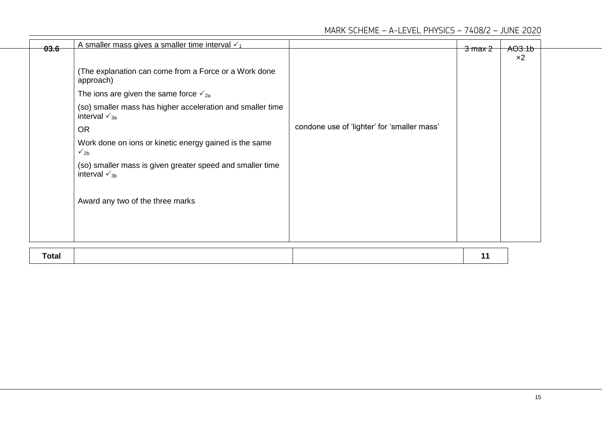| 03.6  | A smaller mass gives a smaller time interval $\sqrt{1}$                                  |                                             | $3$ max $2$ | AO3.1b |
|-------|------------------------------------------------------------------------------------------|---------------------------------------------|-------------|--------|
|       |                                                                                          |                                             |             | $x^2$  |
|       | (The explanation can come from a Force or a Work done<br>approach)                       |                                             |             |        |
|       | The ions are given the same force $\sqrt{2a}$                                            |                                             |             |        |
|       | (so) smaller mass has higher acceleration and smaller time<br>interval $\sqrt{3a}$       |                                             |             |        |
|       | <b>OR</b>                                                                                | condone use of 'lighter' for 'smaller mass' |             |        |
|       | Work done on ions or kinetic energy gained is the same<br>$\sqrt{2b}$                    |                                             |             |        |
|       | (so) smaller mass is given greater speed and smaller time<br>interval $\mathcal{p}_{3b}$ |                                             |             |        |
|       | Award any two of the three marks                                                         |                                             |             |        |
|       |                                                                                          |                                             |             |        |
| Total |                                                                                          |                                             | 11          |        |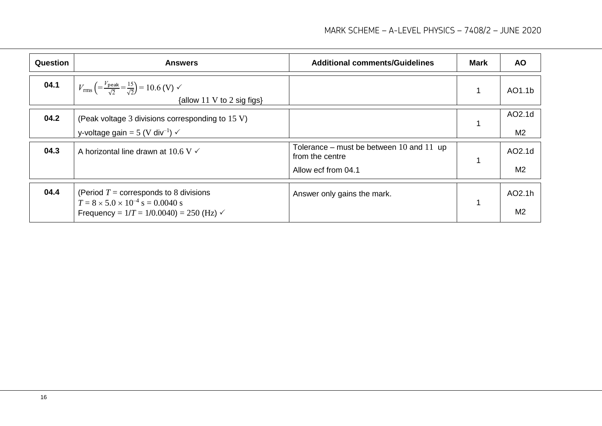| <b>Question</b> | <b>Answers</b>                                                                                                                                     | <b>Additional comments/Guidelines</b>                                                  | <b>Mark</b> | <b>AO</b>                |
|-----------------|----------------------------------------------------------------------------------------------------------------------------------------------------|----------------------------------------------------------------------------------------|-------------|--------------------------|
| 04.1            | $V_{\text{rms}} \left( = \frac{V_{\text{peak}}}{\sqrt{2}} = \frac{15}{\sqrt{2}} \right) = 10.6$ (V) $\checkmark$<br>{allow 11 V to 2 sig figs}     |                                                                                        |             | AO1.1b                   |
| 04.2            | (Peak voltage 3 divisions corresponding to 15 V)<br>y-voltage gain = 5 (V div <sup>-1</sup> ) $\checkmark$                                         |                                                                                        |             | AO2.1d<br>M <sub>2</sub> |
| 04.3            | A horizontal line drawn at 10.6 V $\checkmark$                                                                                                     | Tolerance – must be between $10$ and $11$ up<br>from the centre<br>Allow ecf from 04.1 |             | AO2.1d<br>M <sub>2</sub> |
| 04.4            | (Period $T =$ corresponds to 8 divisions<br>$T = 8 \times 5.0 \times 10^{-4}$ s = 0.0040 s<br>Frequency = $1/T = 1/0.0040$ = 250 (Hz) $\checkmark$ | Answer only gains the mark.                                                            |             | AO2.1h<br>M <sub>2</sub> |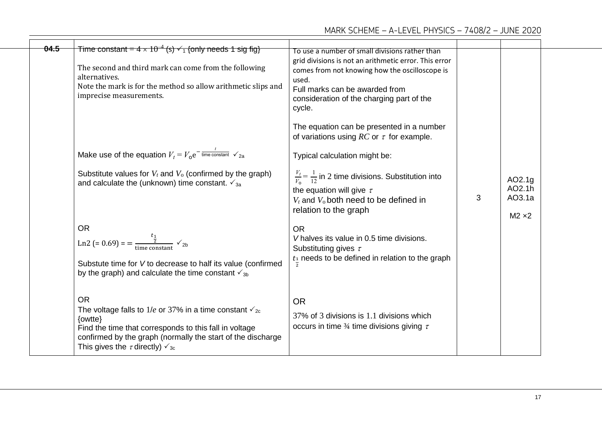| 04.5 | Time constant = $4 \times 10^{-4}$ (s) $\checkmark_1$ {only needs 1 sig fig}<br>The second and third mark can come from the following<br>alternatives.<br>Note the mark is for the method so allow arithmetic slips and<br>imprecise measurements.                    | To use a number of small divisions rather than<br>grid divisions is not an arithmetic error. This error<br>comes from not knowing how the oscilloscope is<br>used.<br>Full marks can be awarded from<br>consideration of the charging part of the<br>cycle.<br>The equation can be presented in a number<br>of variations using RC or $\tau$ for example. |   |                                             |  |
|------|-----------------------------------------------------------------------------------------------------------------------------------------------------------------------------------------------------------------------------------------------------------------------|-----------------------------------------------------------------------------------------------------------------------------------------------------------------------------------------------------------------------------------------------------------------------------------------------------------------------------------------------------------|---|---------------------------------------------|--|
|      | Make use of the equation $V_t = V_0 e^{-\frac{t}{\text{time constant}}} \sqrt{2a}$<br>Substitute values for $V_t$ and $V_0$ (confirmed by the graph)<br>and calculate the (unknown) time constant. $\sqrt{3}$                                                         | Typical calculation might be:<br>$\frac{V_t}{V_0} = \frac{1}{12}$ in 2 time divisions. Substitution into<br>the equation will give $\tau$<br>$V_t$ and $V_0$ both need to be defined in<br>relation to the graph                                                                                                                                          | 3 | AO2.1g<br>AO2.1h<br>AO3.1a<br>$M2 \times 2$ |  |
|      | <b>OR</b><br>Ln2 (= 0.69) = = $\frac{t_1}{\frac{1}{2}}$ $\checkmark$ 2b<br>Substute time for V to decrease to half its value (confirmed<br>by the graph) and calculate the time constant $\sqrt{3}$                                                                   | <b>OR</b><br>V halves its value in 0.5 time divisions.<br>Substituting gives $\tau$<br>$t_1$ needs to be defined in relation to the graph                                                                                                                                                                                                                 |   |                                             |  |
|      | <b>OR</b><br>The voltage falls to 1/e or 37% in a time constant $\mathcal{r}_{2c}$<br>{owtte}<br>Find the time that corresponds to this fall in voltage<br>confirmed by the graph (normally the start of the discharge<br>This gives the $\tau$ directly) $\sqrt{3}c$ | <b>OR</b><br>37% of 3 divisions is 1.1 divisions which<br>occurs in time $\frac{3}{4}$ time divisions giving $\tau$                                                                                                                                                                                                                                       |   |                                             |  |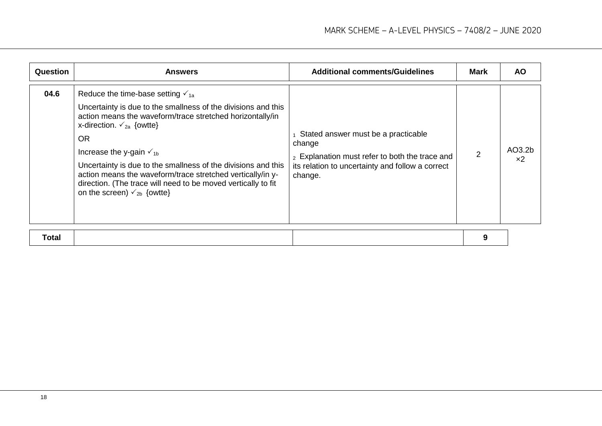| 04.6<br>Reduce the time-base setting $\sqrt{1}$ <sub>1a</sub><br>Uncertainty is due to the smallness of the divisions and this<br>action means the waveform/trace stretched horizontally/in<br>x-direction. $\checkmark$ <sub>2a</sub> {owtte}<br>Stated answer must be a practicable<br><b>OR</b><br>change<br>AO3.2b<br>Increase the y-gain $\sqrt{16}$<br>2<br>2 Explanation must refer to both the trace and<br>x <sub>2</sub><br>Uncertainty is due to the smallness of the divisions and this<br>its relation to uncertainty and follow a correct<br>action means the waveform/trace stretched vertically/in y-<br>change.<br>direction. (The trace will need to be moved vertically to fit<br>on the screen) $\check{v}_{2b}$ {owtte} | <b>Question</b> | <b>Answers</b> | <b>Additional comments/Guidelines</b> | Mark | <b>AO</b> |
|----------------------------------------------------------------------------------------------------------------------------------------------------------------------------------------------------------------------------------------------------------------------------------------------------------------------------------------------------------------------------------------------------------------------------------------------------------------------------------------------------------------------------------------------------------------------------------------------------------------------------------------------------------------------------------------------------------------------------------------------|-----------------|----------------|---------------------------------------|------|-----------|
|                                                                                                                                                                                                                                                                                                                                                                                                                                                                                                                                                                                                                                                                                                                                              |                 |                |                                       |      |           |

|--|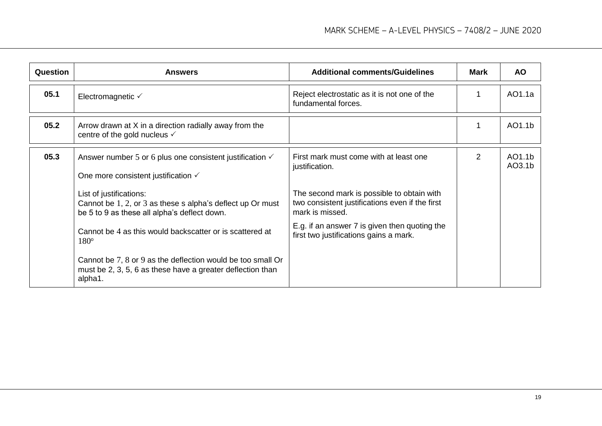| <b>Question</b> | <b>Answers</b>                                                                                                                        | <b>Additional comments/Guidelines</b>                                                                            | <b>Mark</b>    | <b>AO</b>        |
|-----------------|---------------------------------------------------------------------------------------------------------------------------------------|------------------------------------------------------------------------------------------------------------------|----------------|------------------|
| 05.1            | Electromagnetic $\checkmark$                                                                                                          | Reject electrostatic as it is not one of the<br>fundamental forces.                                              |                | AO1.1a           |
| 05.2            | Arrow drawn at X in a direction radially away from the<br>centre of the gold nucleus $\checkmark$                                     |                                                                                                                  |                | AO1.1b           |
| 05.3            | Answer number 5 or 6 plus one consistent justification $\checkmark$<br>One more consistent justification √                            | First mark must come with at least one<br>justification.                                                         | $\overline{2}$ | AO1.1b<br>AO3.1b |
|                 | List of justifications:<br>Cannot be 1, 2, or 3 as these s alpha's deflect up Or must<br>be 5 to 9 as these all alpha's deflect down. | The second mark is possible to obtain with<br>two consistent justifications even if the first<br>mark is missed. |                |                  |
|                 | Cannot be 4 as this would backscatter or is scattered at<br>$180^\circ$                                                               | E.g. if an answer 7 is given then quoting the<br>first two justifications gains a mark.                          |                |                  |
|                 | Cannot be 7, 8 or 9 as the deflection would be too small Or<br>must be 2, 3, 5, 6 as these have a greater deflection than<br>alpha1.  |                                                                                                                  |                |                  |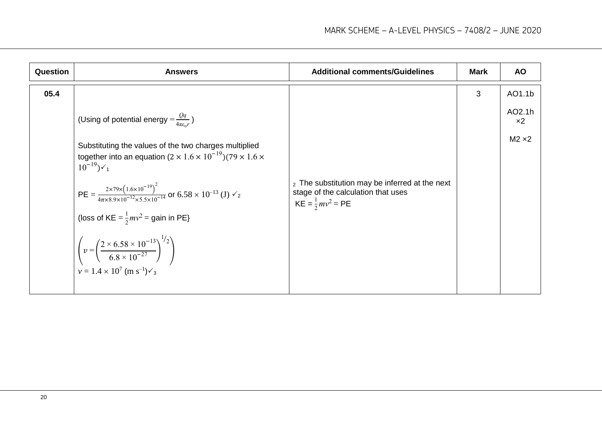| Question | <b>Answers</b>                                                                                                                                                                                                                 | <b>Additional comments/Guidelines</b>                                                                                          | <b>Mark</b> | <b>AO</b>                |
|----------|--------------------------------------------------------------------------------------------------------------------------------------------------------------------------------------------------------------------------------|--------------------------------------------------------------------------------------------------------------------------------|-------------|--------------------------|
| 05.4     |                                                                                                                                                                                                                                |                                                                                                                                | 3           | AO1.1b                   |
|          | (Using of potential energy $=\frac{Qq}{4\pi\epsilon r}$ )                                                                                                                                                                      |                                                                                                                                |             | AO2.1h<br>x <sub>2</sub> |
|          | Substituting the values of the two charges multiplied<br>together into an equation $(2 \times 1.6 \times 10^{-19})$ (79 $\times$ 1.6 $\times$<br>$10^{-19}$ ) $\checkmark_1$                                                   |                                                                                                                                |             | $M2 \times 2$            |
|          | PE = $\frac{2 \times 79 \times (1.6 \times 10^{-19})^2}{4 \pi \times 8.9 \times 10^{-12} \times 5.5 \times 10^{-14}}$ or 6.58 $\times 10^{-13}$ (J) $\check{v}_2$                                                              | <sub>2</sub> The substitution may be inferred at the next<br>stage of the calculation that uses<br>$KE = \frac{1}{2}mv^2 = PE$ |             |                          |
|          | (loss of KE = $\frac{1}{2}mv^2$ = gain in PE}<br>$\left( v = \left( \frac{2 \times 6.58 \times 10^{-13}}{6.8 \times 10^{-27}} \right)^{1/2} \right)$<br>$v = 1.4 \times 10^{7}$ (m s <sup>-1</sup> ) $\checkmark$ <sub>3</sub> |                                                                                                                                |             |                          |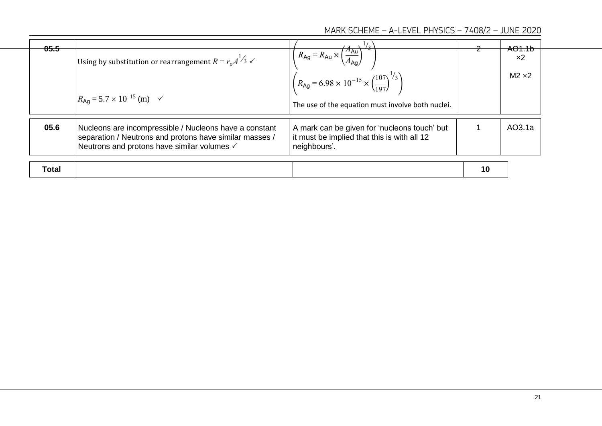| 05.5  | Using by substitution or rearrangement $R = r_o A^{1/3}$ $\checkmark$<br>$R_{\text{Ag}} = 5.7 \times 10^{-15}$ (m) $\checkmark$                                  | $R_{\text{Ag}} = R_{\text{Au}} \times \left(\frac{A_{\text{Au}}}{4}\right)$<br>$\hat{R}_{\text{Ag}}$ = 6.98 × 10 <sup>-15</sup> × $\left(\frac{107}{197}\right)^{1/3}$<br>The use of the equation must involve both nuclei. |    | <del>AO1.1b</del><br>$\times 2$<br>$M2 \times 2$ |
|-------|------------------------------------------------------------------------------------------------------------------------------------------------------------------|-----------------------------------------------------------------------------------------------------------------------------------------------------------------------------------------------------------------------------|----|--------------------------------------------------|
| 05.6  | Nucleons are incompressible / Nucleons have a constant<br>separation / Neutrons and protons have similar masses /<br>Neutrons and protons have similar volumes √ | A mark can be given for 'nucleons touch' but<br>it must be implied that this is with all 12<br>neighbours'.                                                                                                                 |    | AO3.1a                                           |
| Total |                                                                                                                                                                  |                                                                                                                                                                                                                             | 10 |                                                  |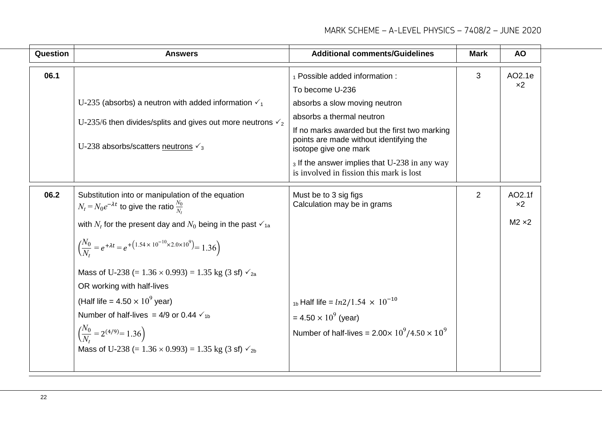| Question | <b>Answers</b>                                                                                                                                                                                                                                                                                                                                                                                                                                                                                                                                                                                                                                                                    | <b>Additional comments/Guidelines</b>                                                                                                                                                                                                                                                                                             | <b>Mark</b> | <b>AO</b>                        |
|----------|-----------------------------------------------------------------------------------------------------------------------------------------------------------------------------------------------------------------------------------------------------------------------------------------------------------------------------------------------------------------------------------------------------------------------------------------------------------------------------------------------------------------------------------------------------------------------------------------------------------------------------------------------------------------------------------|-----------------------------------------------------------------------------------------------------------------------------------------------------------------------------------------------------------------------------------------------------------------------------------------------------------------------------------|-------------|----------------------------------|
| 06.1     | U-235 (absorbs) a neutron with added information $\checkmark_1$<br>U-235/6 then divides/splits and gives out more neutrons $\sqrt{2}$<br>U-238 absorbs/scatters neutrons $\sqrt{3}$                                                                                                                                                                                                                                                                                                                                                                                                                                                                                               | 1 Possible added information :<br>To become U-236<br>absorbs a slow moving neutron<br>absorbs a thermal neutron<br>If no marks awarded but the first two marking<br>points are made without identifying the<br>isotope give one mark<br>3 If the answer implies that U-238 in any way<br>is involved in fission this mark is lost | 3           | AO2.1e<br>x <sub>2</sub>         |
| 06.2     | Substitution into or manipulation of the equation<br>$N_t = N_0 e^{-\lambda t}$ to give the ratio $\frac{N_0}{N}$<br>with $N_t$ for the present day and $N_0$ being in the past $\mathbf{v}_{1a}$<br>$\left(\frac{N_0}{N} = e^{+\lambda t} = e^{+\left(1.54 \times 10^{-10} \times 2.0 \times 10^9\right)} = 1.36\right)$<br>Mass of U-238 (= $1.36 \times 0.993$ ) = 1.35 kg (3 sf) $\sqrt{2}a$<br>OR working with half-lives<br>(Half life = $4.50 \times 10^9$ year)<br>Number of half-lives = 4/9 or 0.44 $\checkmark$ <sub>1b</sub><br>$\left(\frac{N_0}{N}\right) = 2^{(4/9)} = 1.36$<br>Mass of U-238 (= $1.36 \times 0.993$ ) = 1.35 kg (3 sf) $\checkmark$ <sub>2b</sub> | Must be to 3 sig figs<br>Calculation may be in grams<br><sub>1b</sub> Half life = $ln2/1.54 \times 10^{-10}$<br>$= 4.50 \times 10^{9}$ (year)<br>Number of half-lives = $2.00 \times 10^9 / 4.50 \times 10^9$                                                                                                                     | 2           | AO2.1f<br>$x^2$<br>$M2 \times 2$ |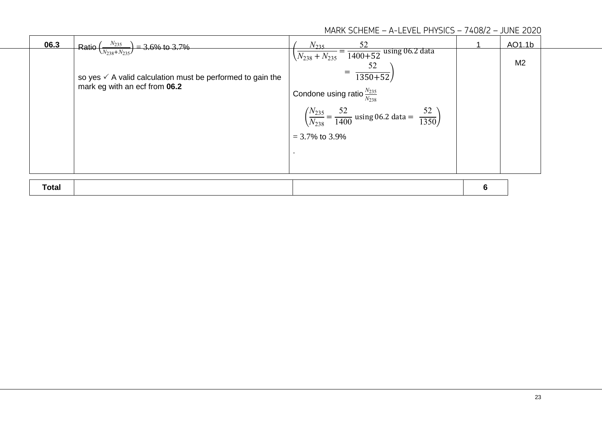| 06.3         | $N_{235}$<br>$=$ 3.6% to 3.7%<br><b>Ratio</b>                                                                                      | 52<br>N <sub>235</sub>                                                                                                                                                                                                                                             |   | AO1.1b         |  |
|--------------|------------------------------------------------------------------------------------------------------------------------------------|--------------------------------------------------------------------------------------------------------------------------------------------------------------------------------------------------------------------------------------------------------------------|---|----------------|--|
|              | $\sqrt{N_{238}+N_{235}}$<br>so yes $\checkmark$ A valid calculation must be performed to gain the<br>mark eg with an ecf from 06.2 | $\sqrt{N_{238}+N_{235}} = \frac{1}{1400+52}$ using 06.2 data<br>52<br>$\frac{1350+52}{ }$<br>Condone using ratio $\frac{N_{235}}{N_{238}}$<br>52<br>$rac{52}{1350}$<br>$(N_{235})$<br>$=\frac{1400}{1400}$ using 06.2 data =<br>$(N_{238}^-)$<br>$= 3.7\%$ to 3.9% |   | M <sub>2</sub> |  |
| <b>Total</b> |                                                                                                                                    |                                                                                                                                                                                                                                                                    | 6 |                |  |